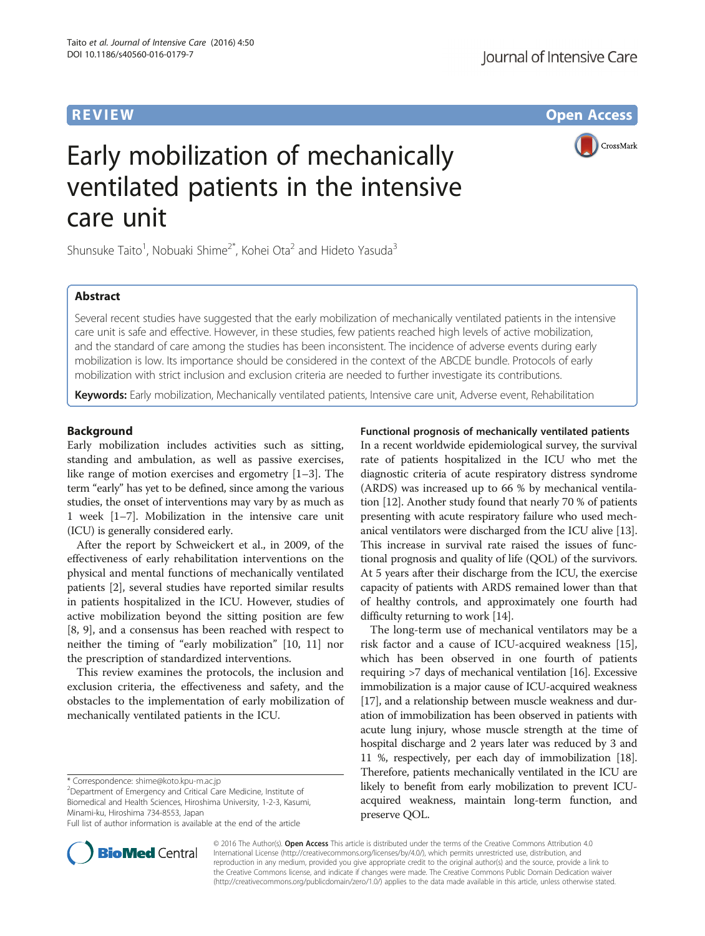**REVIEW ACCESS AND LOCAL CONTRACT CONTRACT OF ACCESS** 

CrossMark

# Early mobilization of mechanically ventilated patients in the intensive care unit

Shunsuke Taito<sup>1</sup>, Nobuaki Shime<sup>2\*</sup>, Kohei Ota<sup>2</sup> and Hideto Yasuda<sup>3</sup>

# Abstract

Several recent studies have suggested that the early mobilization of mechanically ventilated patients in the intensive care unit is safe and effective. However, in these studies, few patients reached high levels of active mobilization, and the standard of care among the studies has been inconsistent. The incidence of adverse events during early mobilization is low. Its importance should be considered in the context of the ABCDE bundle. Protocols of early mobilization with strict inclusion and exclusion criteria are needed to further investigate its contributions.

Keywords: Early mobilization, Mechanically ventilated patients, Intensive care unit, Adverse event, Rehabilitation

# Background

Early mobilization includes activities such as sitting, standing and ambulation, as well as passive exercises, like range of motion exercises and ergometry [\[1](#page-5-0)–[3\]](#page-5-0). The term "early" has yet to be defined, since among the various studies, the onset of interventions may vary by as much as 1 week [\[1](#page-5-0)–[7\]](#page-6-0). Mobilization in the intensive care unit (ICU) is generally considered early.

After the report by Schweickert et al., in 2009, of the effectiveness of early rehabilitation interventions on the physical and mental functions of mechanically ventilated patients [[2](#page-5-0)], several studies have reported similar results in patients hospitalized in the ICU. However, studies of active mobilization beyond the sitting position are few [[8, 9](#page-6-0)], and a consensus has been reached with respect to neither the timing of "early mobilization" [\[10, 11](#page-6-0)] nor the prescription of standardized interventions.

This review examines the protocols, the inclusion and exclusion criteria, the effectiveness and safety, and the obstacles to the implementation of early mobilization of mechanically ventilated patients in the ICU.

<sup>2</sup>Department of Emergency and Critical Care Medicine, Institute of Biomedical and Health Sciences, Hiroshima University, 1-2-3, Kasumi, Minami-ku, Hiroshima 734-8553, Japan

In a recent worldwide epidemiological survey, the survival rate of patients hospitalized in the ICU who met the diagnostic criteria of acute respiratory distress syndrome

Functional prognosis of mechanically ventilated patients

(ARDS) was increased up to 66 % by mechanical ventilation [\[12\]](#page-6-0). Another study found that nearly 70 % of patients presenting with acute respiratory failure who used mechanical ventilators were discharged from the ICU alive [[13](#page-6-0)]. This increase in survival rate raised the issues of functional prognosis and quality of life (QOL) of the survivors. At 5 years after their discharge from the ICU, the exercise capacity of patients with ARDS remained lower than that of healthy controls, and approximately one fourth had difficulty returning to work [\[14\]](#page-6-0).

The long-term use of mechanical ventilators may be a risk factor and a cause of ICU-acquired weakness [\[15](#page-6-0)], which has been observed in one fourth of patients requiring >7 days of mechanical ventilation [\[16\]](#page-6-0). Excessive immobilization is a major cause of ICU-acquired weakness [[17](#page-6-0)], and a relationship between muscle weakness and duration of immobilization has been observed in patients with acute lung injury, whose muscle strength at the time of hospital discharge and 2 years later was reduced by 3 and 11 %, respectively, per each day of immobilization [\[18](#page-6-0)]. Therefore, patients mechanically ventilated in the ICU are likely to benefit from early mobilization to prevent ICUacquired weakness, maintain long-term function, and preserve QOL.



© 2016 The Author(s). Open Access This article is distributed under the terms of the Creative Commons Attribution 4.0 International License [\(http://creativecommons.org/licenses/by/4.0/](http://creativecommons.org/licenses/by/4.0/)), which permits unrestricted use, distribution, and reproduction in any medium, provided you give appropriate credit to the original author(s) and the source, provide a link to the Creative Commons license, and indicate if changes were made. The Creative Commons Public Domain Dedication waiver [\(http://creativecommons.org/publicdomain/zero/1.0/](http://creativecommons.org/publicdomain/zero/1.0/)) applies to the data made available in this article, unless otherwise stated.

<sup>\*</sup> Correspondence: [shime@koto.kpu-m.ac.jp](mailto:shime@koto.kpu-m.ac.jp) <sup>2</sup>

Full list of author information is available at the end of the article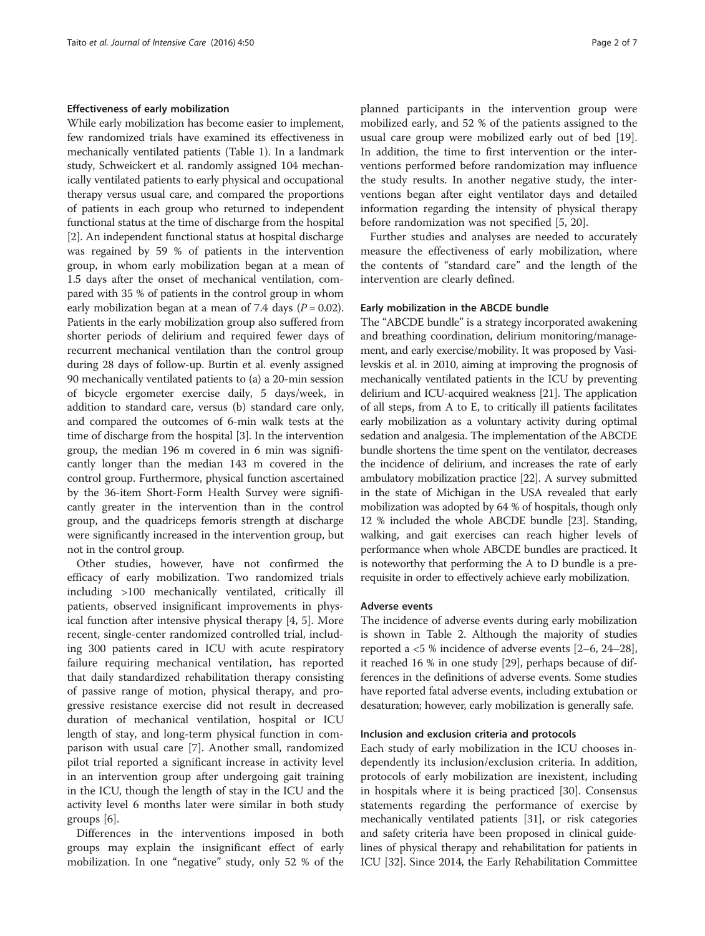# Effectiveness of early mobilization

While early mobilization has become easier to implement, few randomized trials have examined its effectiveness in mechanically ventilated patients (Table [1](#page-2-0)). In a landmark study, Schweickert et al. randomly assigned 104 mechanically ventilated patients to early physical and occupational therapy versus usual care, and compared the proportions of patients in each group who returned to independent functional status at the time of discharge from the hospital [[2\]](#page-5-0). An independent functional status at hospital discharge was regained by 59 % of patients in the intervention group, in whom early mobilization began at a mean of 1.5 days after the onset of mechanical ventilation, compared with 35 % of patients in the control group in whom early mobilization began at a mean of 7.4 days ( $P = 0.02$ ). Patients in the early mobilization group also suffered from shorter periods of delirium and required fewer days of recurrent mechanical ventilation than the control group during 28 days of follow-up. Burtin et al. evenly assigned 90 mechanically ventilated patients to (a) a 20-min session of bicycle ergometer exercise daily, 5 days/week, in addition to standard care, versus (b) standard care only, and compared the outcomes of 6-min walk tests at the time of discharge from the hospital [\[3](#page-5-0)]. In the intervention group, the median 196 m covered in 6 min was significantly longer than the median 143 m covered in the control group. Furthermore, physical function ascertained by the 36-item Short-Form Health Survey were significantly greater in the intervention than in the control group, and the quadriceps femoris strength at discharge were significantly increased in the intervention group, but not in the control group.

Other studies, however, have not confirmed the efficacy of early mobilization. Two randomized trials including >100 mechanically ventilated, critically ill patients, observed insignificant improvements in physical function after intensive physical therapy [[4, 5\]](#page-5-0). More recent, single-center randomized controlled trial, including 300 patients cared in ICU with acute respiratory failure requiring mechanical ventilation, has reported that daily standardized rehabilitation therapy consisting of passive range of motion, physical therapy, and progressive resistance exercise did not result in decreased duration of mechanical ventilation, hospital or ICU length of stay, and long-term physical function in comparison with usual care [\[7](#page-6-0)]. Another small, randomized pilot trial reported a significant increase in activity level in an intervention group after undergoing gait training in the ICU, though the length of stay in the ICU and the activity level 6 months later were similar in both study groups [[6\]](#page-6-0).

Differences in the interventions imposed in both groups may explain the insignificant effect of early mobilization. In one "negative" study, only 52 % of the

planned participants in the intervention group were mobilized early, and 52 % of the patients assigned to the usual care group were mobilized early out of bed [\[19](#page-6-0)]. In addition, the time to first intervention or the interventions performed before randomization may influence the study results. In another negative study, the interventions began after eight ventilator days and detailed information regarding the intensity of physical therapy before randomization was not specified [\[5](#page-5-0), [20](#page-6-0)].

Further studies and analyses are needed to accurately measure the effectiveness of early mobilization, where the contents of "standard care" and the length of the intervention are clearly defined.

### Early mobilization in the ABCDE bundle

The "ABCDE bundle" is a strategy incorporated awakening and breathing coordination, delirium monitoring/management, and early exercise/mobility. It was proposed by Vasilevskis et al. in 2010, aiming at improving the prognosis of mechanically ventilated patients in the ICU by preventing delirium and ICU-acquired weakness [[21](#page-6-0)]. The application of all steps, from A to E, to critically ill patients facilitates early mobilization as a voluntary activity during optimal sedation and analgesia. The implementation of the ABCDE bundle shortens the time spent on the ventilator, decreases the incidence of delirium, and increases the rate of early ambulatory mobilization practice [\[22\]](#page-6-0). A survey submitted in the state of Michigan in the USA revealed that early mobilization was adopted by 64 % of hospitals, though only 12 % included the whole ABCDE bundle [[23](#page-6-0)]. Standing, walking, and gait exercises can reach higher levels of performance when whole ABCDE bundles are practiced. It is noteworthy that performing the A to D bundle is a prerequisite in order to effectively achieve early mobilization.

## Adverse events

The incidence of adverse events during early mobilization is shown in Table [2.](#page-4-0) Although the majority of studies reported a <5 % incidence of adverse events [[2](#page-5-0)–[6](#page-6-0), [24](#page-6-0)–[28](#page-6-0)], it reached 16 % in one study [[29](#page-6-0)], perhaps because of differences in the definitions of adverse events. Some studies have reported fatal adverse events, including extubation or desaturation; however, early mobilization is generally safe.

### Inclusion and exclusion criteria and protocols

Each study of early mobilization in the ICU chooses independently its inclusion/exclusion criteria. In addition, protocols of early mobilization are inexistent, including in hospitals where it is being practiced [[30\]](#page-6-0). Consensus statements regarding the performance of exercise by mechanically ventilated patients [\[31](#page-6-0)], or risk categories and safety criteria have been proposed in clinical guidelines of physical therapy and rehabilitation for patients in ICU [\[32\]](#page-6-0). Since 2014, the Early Rehabilitation Committee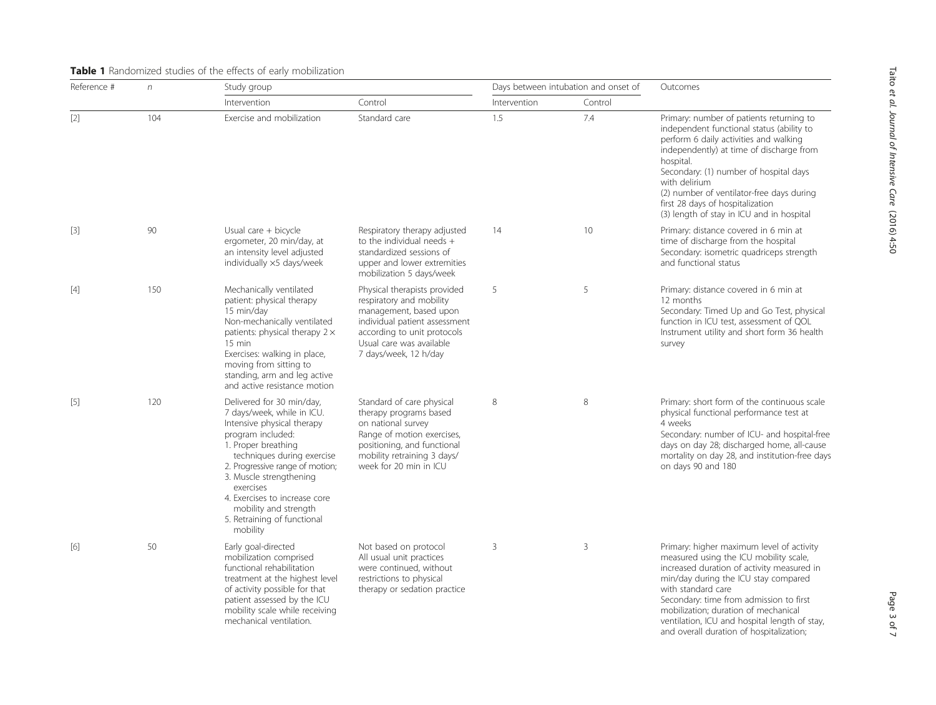| Reference # | $\eta$ | Study group                                                                                                                                                                                                                                                                                                                                     |                                                                                                                                                                                                         | Days between intubation and onset of |         | Outcomes                                                                                                                                                                                                                                                                                                                                                                          |
|-------------|--------|-------------------------------------------------------------------------------------------------------------------------------------------------------------------------------------------------------------------------------------------------------------------------------------------------------------------------------------------------|---------------------------------------------------------------------------------------------------------------------------------------------------------------------------------------------------------|--------------------------------------|---------|-----------------------------------------------------------------------------------------------------------------------------------------------------------------------------------------------------------------------------------------------------------------------------------------------------------------------------------------------------------------------------------|
|             |        | Intervention                                                                                                                                                                                                                                                                                                                                    | Control                                                                                                                                                                                                 | Intervention                         | Control |                                                                                                                                                                                                                                                                                                                                                                                   |
| $[2]$       | 104    | Exercise and mobilization                                                                                                                                                                                                                                                                                                                       | Standard care                                                                                                                                                                                           | 1.5                                  | 7.4     | Primary: number of patients returning to<br>independent functional status (ability to<br>perform 6 daily activities and walking<br>independently) at time of discharge from<br>hospital.<br>Secondary: (1) number of hospital days<br>with delirium<br>(2) number of ventilator-free days during<br>first 28 days of hospitalization<br>(3) length of stay in ICU and in hospital |
| $[3]$       | 90     | Usual care + bicycle<br>ergometer, 20 min/day, at<br>an intensity level adjusted<br>individually ×5 days/week                                                                                                                                                                                                                                   | Respiratory therapy adjusted<br>to the individual needs $+$<br>standardized sessions of<br>upper and lower extremities<br>mobilization 5 days/week                                                      | 14                                   | 10      | Primary: distance covered in 6 min at<br>time of discharge from the hospital<br>Secondary: isometric quadriceps strength<br>and functional status                                                                                                                                                                                                                                 |
| $[4]$       | 150    | Mechanically ventilated<br>patient: physical therapy<br>15 min/day<br>Non-mechanically ventilated<br>patients: physical therapy $2 \times$<br>$15 \text{ min}$<br>Exercises: walking in place,<br>moving from sitting to<br>standing, arm and leg active<br>and active resistance motion                                                        | Physical therapists provided<br>respiratory and mobility<br>management, based upon<br>individual patient assessment<br>according to unit protocols<br>Usual care was available<br>7 days/week, 12 h/day | 5                                    | 5       | Primary: distance covered in 6 min at<br>12 months<br>Secondary: Timed Up and Go Test, physical<br>function in ICU test, assessment of QOL<br>Instrument utility and short form 36 health<br>survey                                                                                                                                                                               |
| $[5]$       | 120    | Delivered for 30 min/day,<br>7 days/week, while in ICU.<br>Intensive physical therapy<br>program included:<br>1. Proper breathing<br>techniques during exercise<br>2. Progressive range of motion;<br>3. Muscle strengthening<br>exercises<br>4. Exercises to increase core<br>mobility and strength<br>5. Retraining of functional<br>mobility | Standard of care physical<br>therapy programs based<br>on national survey<br>Range of motion exercises,<br>positioning, and functional<br>mobility retraining 3 days/<br>week for 20 min in ICU         | 8                                    | 8       | Primary: short form of the continuous scale<br>physical functional performance test at<br>4 weeks<br>Secondary: number of ICU- and hospital-free<br>days on day 28; discharged home, all-cause<br>mortality on day 28, and institution-free days<br>on days 90 and 180                                                                                                            |
| [6]         | 50     | Early goal-directed<br>mobilization comprised<br>functional rehabilitation<br>treatment at the highest level<br>of activity possible for that<br>patient assessed by the ICU<br>mobility scale while receiving<br>mechanical ventilation.                                                                                                       | Not based on protocol<br>All usual unit practices<br>were continued, without<br>restrictions to physical<br>therapy or sedation practice                                                                | 3                                    | 3       | Primary: higher maximum level of activity<br>measured using the ICU mobility scale,<br>increased duration of activity measured in<br>min/day during the ICU stay compared<br>with standard care<br>Secondary: time from admission to first<br>mobilization; duration of mechanical<br>ventilation, ICU and hospital length of stay,<br>and overall duration of hospitalization;   |

# <span id="page-2-0"></span>Table 1 Randomized studies of the effects of early mobilization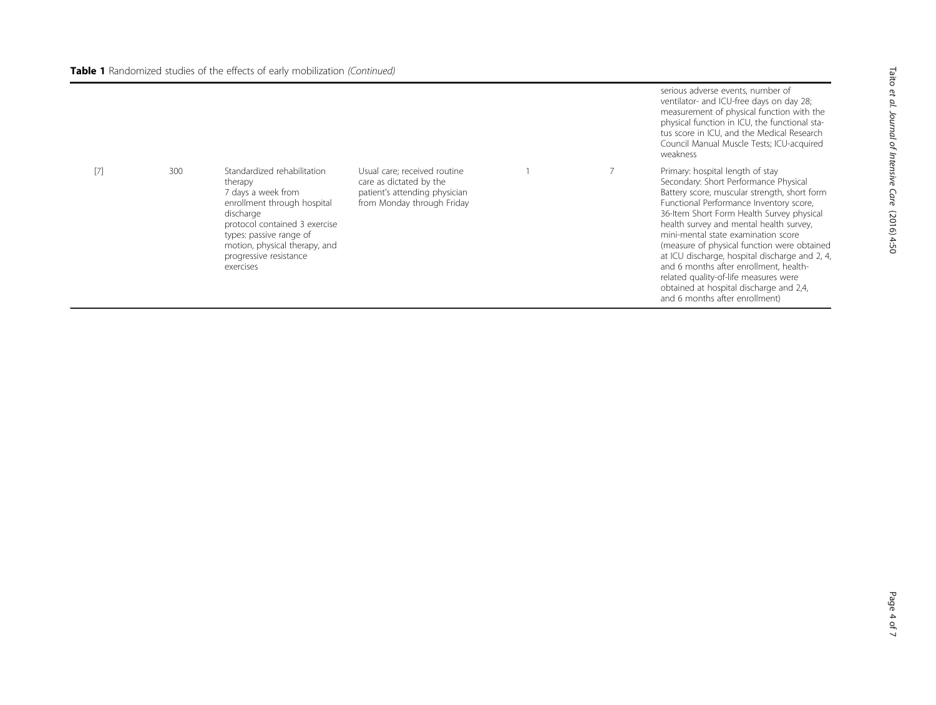|     |     |                                                                                                                                                                                                                                              |                                                                                                                        |  | serious adverse events, number of<br>ventilator- and ICU-free days on day 28;<br>measurement of physical function with the<br>physical function in ICU, the functional sta-<br>tus score in ICU, and the Medical Research<br>Council Manual Muscle Tests; ICU-acquired<br>weakness                                                                                                                                                                                                                                                                                   |
|-----|-----|----------------------------------------------------------------------------------------------------------------------------------------------------------------------------------------------------------------------------------------------|------------------------------------------------------------------------------------------------------------------------|--|----------------------------------------------------------------------------------------------------------------------------------------------------------------------------------------------------------------------------------------------------------------------------------------------------------------------------------------------------------------------------------------------------------------------------------------------------------------------------------------------------------------------------------------------------------------------|
| [7] | 300 | Standardized rehabilitation<br>therapy<br>7 days a week from<br>enrollment through hospital<br>discharge<br>protocol contained 3 exercise<br>types: passive range of<br>motion, physical therapy, and<br>progressive resistance<br>exercises | Usual care; received routine<br>care as dictated by the<br>patient's attending physician<br>from Monday through Friday |  | Primary: hospital length of stay<br>Secondary: Short Performance Physical<br>Battery score, muscular strength, short form<br>Functional Performance Inventory score,<br>36-Item Short Form Health Survey physical<br>health survey and mental health survey,<br>mini-mental state examination score<br>(measure of physical function were obtained<br>at ICU discharge, hospital discharge and 2, 4,<br>and 6 months after enrollment, health-<br>related quality-of-life measures were<br>obtained at hospital discharge and 2,4,<br>and 6 months after enrollment) |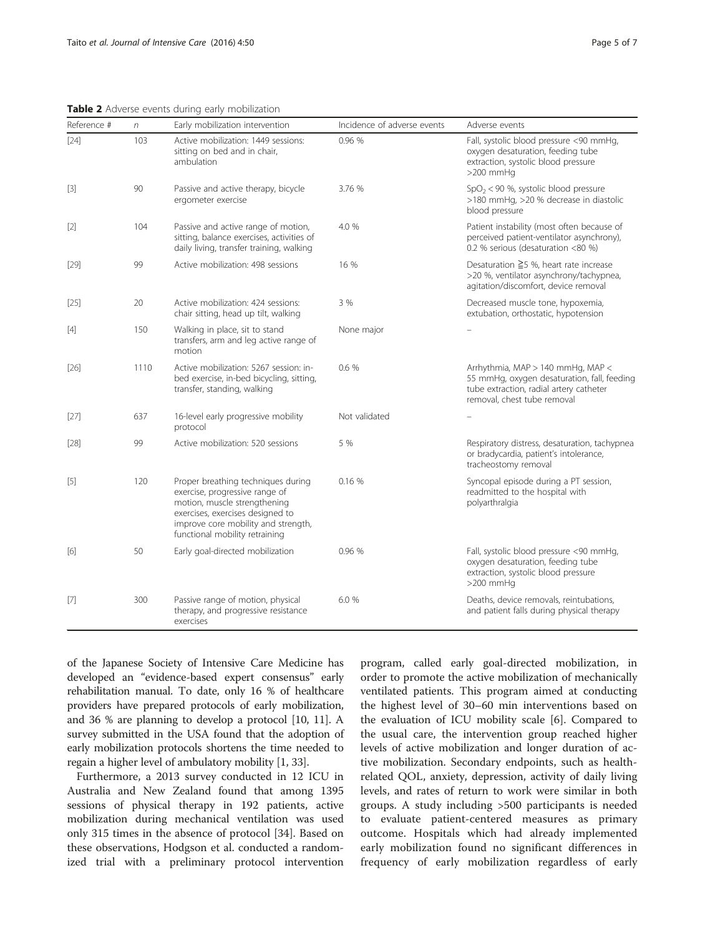<span id="page-4-0"></span>Table 2 Adverse events during early mobilization

| Reference # | $\boldsymbol{n}$ | Early mobilization intervention                                                                                                                                                                                   | Incidence of adverse events | Adverse events                                                                                                                                             |
|-------------|------------------|-------------------------------------------------------------------------------------------------------------------------------------------------------------------------------------------------------------------|-----------------------------|------------------------------------------------------------------------------------------------------------------------------------------------------------|
| $[24]$      | 103              | Active mobilization: 1449 sessions:<br>sitting on bed and in chair,<br>ambulation                                                                                                                                 | 0.96 %                      | Fall, systolic blood pressure <90 mmHq,<br>oxygen desaturation, feeding tube<br>extraction, systolic blood pressure<br>$>200$ mmHq                         |
| $[3]$       | 90               | Passive and active therapy, bicycle<br>ergometer exercise                                                                                                                                                         | 3.76 %                      | $SpO2$ < 90 %, systolic blood pressure<br>>180 mmHg, >20 % decrease in diastolic<br>blood pressure                                                         |
| $[2]$       | 104              | Passive and active range of motion,<br>sitting, balance exercises, activities of<br>daily living, transfer training, walking                                                                                      | 4.0 %                       | Patient instability (most often because of<br>perceived patient-ventilator asynchrony),<br>0.2 % serious (desaturation <80 %)                              |
| $[29]$      | 99               | Active mobilization: 498 sessions                                                                                                                                                                                 | 16 %                        | Desaturation $\geq$ 5 %, heart rate increase<br>>20 %, ventilator asynchrony/tachypnea,<br>agitation/discomfort, device removal                            |
| $[25]$      | 20               | Active mobilization: 424 sessions:<br>chair sitting, head up tilt, walking                                                                                                                                        | 3 %                         | Decreased muscle tone, hypoxemia,<br>extubation, orthostatic, hypotension                                                                                  |
| $[4]$       | 150              | Walking in place, sit to stand<br>transfers, arm and leg active range of<br>motion                                                                                                                                | None major                  |                                                                                                                                                            |
| $[26]$      | 1110             | Active mobilization: 5267 session: in-<br>bed exercise, in-bed bicycling, sitting,<br>transfer, standing, walking                                                                                                 | 0.6 %                       | Arrhythmia, MAP > 140 mmHg, MAP <<br>55 mmHg, oxygen desaturation, fall, feeding<br>tube extraction, radial artery catheter<br>removal, chest tube removal |
| $[27]$      | 637              | 16-level early progressive mobility<br>protocol                                                                                                                                                                   | Not validated               |                                                                                                                                                            |
| $[28]$      | 99               | Active mobilization: 520 sessions                                                                                                                                                                                 | 5 %                         | Respiratory distress, desaturation, tachypnea<br>or bradycardia, patient's intolerance,<br>tracheostomy removal                                            |
| $[5]$       | 120              | Proper breathing techniques during<br>exercise, progressive range of<br>motion, muscle strengthening<br>exercises, exercises designed to<br>improve core mobility and strength,<br>functional mobility retraining | 0.16%                       | Syncopal episode during a PT session,<br>readmitted to the hospital with<br>polyarthralgia                                                                 |
| [6]         | 50               | Early goal-directed mobilization                                                                                                                                                                                  | 0.96 %                      | Fall, systolic blood pressure <90 mmHg,<br>oxygen desaturation, feeding tube<br>extraction, systolic blood pressure<br>$>200$ mmHq                         |
| $[7]$       | 300              | Passive range of motion, physical<br>therapy, and progressive resistance<br>exercises                                                                                                                             | 6.0%                        | Deaths, device removals, reintubations,<br>and patient falls during physical therapy                                                                       |

of the Japanese Society of Intensive Care Medicine has developed an "evidence-based expert consensus" early rehabilitation manual. To date, only 16 % of healthcare providers have prepared protocols of early mobilization, and 36 % are planning to develop a protocol [\[10](#page-6-0), [11\]](#page-6-0). A survey submitted in the USA found that the adoption of early mobilization protocols shortens the time needed to regain a higher level of ambulatory mobility [[1,](#page-5-0) [33](#page-6-0)].

Furthermore, a 2013 survey conducted in 12 ICU in Australia and New Zealand found that among 1395 sessions of physical therapy in 192 patients, active mobilization during mechanical ventilation was used only 315 times in the absence of protocol [[34\]](#page-6-0). Based on these observations, Hodgson et al. conducted a randomized trial with a preliminary protocol intervention

program, called early goal-directed mobilization, in order to promote the active mobilization of mechanically ventilated patients. This program aimed at conducting the highest level of 30–60 min interventions based on the evaluation of ICU mobility scale [\[6](#page-6-0)]. Compared to the usual care, the intervention group reached higher levels of active mobilization and longer duration of active mobilization. Secondary endpoints, such as healthrelated QOL, anxiety, depression, activity of daily living levels, and rates of return to work were similar in both groups. A study including >500 participants is needed to evaluate patient-centered measures as primary outcome. Hospitals which had already implemented early mobilization found no significant differences in frequency of early mobilization regardless of early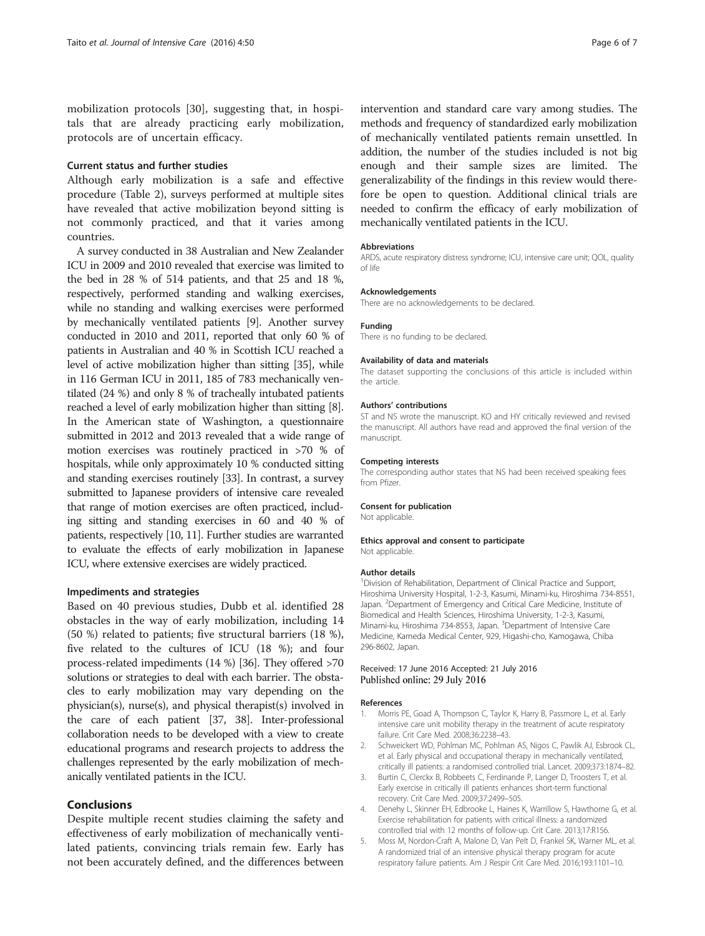<span id="page-5-0"></span>mobilization protocols [\[30](#page-6-0)], suggesting that, in hospitals that are already practicing early mobilization, protocols are of uncertain efficacy.

# Current status and further studies

Although early mobilization is a safe and effective procedure (Table [2](#page-4-0)), surveys performed at multiple sites have revealed that active mobilization beyond sitting is not commonly practiced, and that it varies among countries.

A survey conducted in 38 Australian and New Zealander ICU in 2009 and 2010 revealed that exercise was limited to the bed in 28 % of 514 patients, and that 25 and 18 %, respectively, performed standing and walking exercises, while no standing and walking exercises were performed by mechanically ventilated patients [\[9](#page-6-0)]. Another survey conducted in 2010 and 2011, reported that only 60 % of patients in Australian and 40 % in Scottish ICU reached a level of active mobilization higher than sitting [\[35\]](#page-6-0), while in 116 German ICU in 2011, 185 of 783 mechanically ventilated (24 %) and only 8 % of tracheally intubated patients reached a level of early mobilization higher than sitting [[8](#page-6-0)]. In the American state of Washington, a questionnaire submitted in 2012 and 2013 revealed that a wide range of motion exercises was routinely practiced in >70 % of hospitals, while only approximately 10 % conducted sitting and standing exercises routinely [[33](#page-6-0)]. In contrast, a survey submitted to Japanese providers of intensive care revealed that range of motion exercises are often practiced, including sitting and standing exercises in 60 and 40 % of patients, respectively [\[10, 11\]](#page-6-0). Further studies are warranted to evaluate the effects of early mobilization in Japanese ICU, where extensive exercises are widely practiced.

#### Impediments and strategies

Based on 40 previous studies, Dubb et al. identified 28 obstacles in the way of early mobilization, including 14 (50 %) related to patients; five structural barriers (18 %), five related to the cultures of ICU (18 %); and four process-related impediments (14 %) [\[36](#page-6-0)]. They offered >70 solutions or strategies to deal with each barrier. The obstacles to early mobilization may vary depending on the physician(s), nurse(s), and physical therapist(s) involved in the care of each patient [[37](#page-6-0), [38](#page-6-0)]. Inter-professional collaboration needs to be developed with a view to create educational programs and research projects to address the challenges represented by the early mobilization of mechanically ventilated patients in the ICU.

# Conclusions

Despite multiple recent studies claiming the safety and effectiveness of early mobilization of mechanically ventilated patients, convincing trials remain few. Early has not been accurately defined, and the differences between intervention and standard care vary among studies. The methods and frequency of standardized early mobilization of mechanically ventilated patients remain unsettled. In addition, the number of the studies included is not big enough and their sample sizes are limited. The generalizability of the findings in this review would therefore be open to question. Additional clinical trials are needed to confirm the efficacy of early mobilization of mechanically ventilated patients in the ICU.

#### Abbreviations

ARDS, acute respiratory distress syndrome; ICU, intensive care unit; QOL, quality of life

#### Acknowledgements

There are no acknowledgements to be declared.

#### Funding

There is no funding to be declared.

#### Availability of data and materials

The dataset supporting the conclusions of this article is included within the article.

#### Authors' contributions

ST and NS wrote the manuscript. KO and HY critically reviewed and revised the manuscript. All authors have read and approved the final version of the manuscript.

#### Competing interests

The corresponding author states that NS had been received speaking fees from Pfizer.

#### Consent for publication

Not applicable.

#### Ethics approval and consent to participate

Not applicable.

#### Author details

<sup>1</sup> Division of Rehabilitation, Department of Clinical Practice and Support, Hiroshima University Hospital, 1-2-3, Kasumi, Minami-ku, Hiroshima 734-8551, Japan. <sup>2</sup>Department of Emergency and Critical Care Medicine, Institute of Biomedical and Health Sciences, Hiroshima University, 1-2-3, Kasumi, Minami-ku, Hiroshima 734-8553, Japan. <sup>3</sup>Department of Intensive Care Medicine, Kameda Medical Center, 929, Higashi-cho, Kamogawa, Chiba 296-8602, Japan.

#### Received: 17 June 2016 Accepted: 21 July 2016 Published online: 29 July 2016

#### References

- 1. Morris PE, Goad A, Thompson C, Taylor K, Harry B, Passmore L, et al. Early intensive care unit mobility therapy in the treatment of acute respiratory failure. Crit Care Med. 2008;36:2238–43.
- 2. Schweickert WD, Pohlman MC, Pohlman AS, Nigos C, Pawlik AJ, Esbrook CL, et al. Early physical and occupational therapy in mechanically ventilated, critically ill patients: a randomised controlled trial. Lancet. 2009;373:1874–82.
- 3. Burtin C, Clerckx B, Robbeets C, Ferdinande P, Langer D, Troosters T, et al. Early exercise in critically ill patients enhances short-term functional recovery. Crit Care Med. 2009;37:2499–505.
- 4. Denehy L, Skinner EH, Edbrooke L, Haines K, Warrillow S, Hawthorne G, et al. Exercise rehabilitation for patients with critical illness: a randomized controlled trial with 12 months of follow-up. Crit Care. 2013;17:R156.
- 5. Moss M, Nordon-Craft A, Malone D, Van Pelt D, Frankel SK, Warner ML, et al. A randomized trial of an intensive physical therapy program for acute respiratory failure patients. Am J Respir Crit Care Med. 2016;193:1101–10.